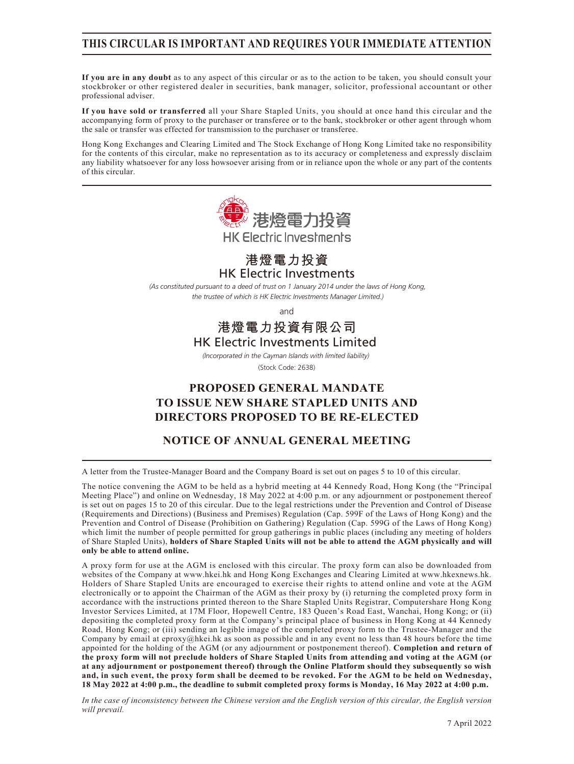## **THIS CIRCULAR IS IMPORTANT AND REQUIRES YOUR IMMEDIATE ATTENTION**

**If you are in any doubt** as to any aspect of this circular or as to the action to be taken, you should consult your stockbroker or other registered dealer in securities, bank manager, solicitor, professional accountant or other professional adviser.

**If you have sold or transferred** all your Share Stapled Units, you should at once hand this circular and the accompanying form of proxy to the purchaser or transferee or to the bank, stockbroker or other agent through whom the sale or transfer was effected for transmission to the purchaser or transferee.

Hong Kong Exchanges and Clearing Limited and The Stock Exchange of Hong Kong Limited take no responsibility for the contents of this circular, make no representation as to its accuracy or completeness and expressly disclaim any liability whatsoever for any loss howsoever arising from or in reliance upon the whole or any part of the contents of this circular.



HK Electric Investments **港燈電力投資**

*(As constituted pursuant to a deed of trust on 1 January 2014 under the laws of Hong Kong, the trustee of which is HK Electric Investments Manager Limited.)*

and

# HK Electric Investments Limited **港燈電力投資有限公司**

*(Incorporated in the Cayman Islands with limited liability)* 

(Stock Code: 2638)

# **PROPOSED GENERAL MANDATE TO ISSUE NEW SHARE STAPLED UNITS AND DIRECTORS PROPOSED TO BE RE-ELECTED**

## **NOTICE OF ANNUAL GENERAL MEETING**

A letter from the Trustee-Manager Board and the Company Board is set out on pages 5 to 10 of this circular.

The notice convening the AGM to be held as a hybrid meeting at 44 Kennedy Road, Hong Kong (the "Principal Meeting Place") and online on Wednesday, 18 May 2022 at 4:00 p.m. or any adjournment or postponement thereof is set out on pages 15 to 20 of this circular. Due to the legal restrictions under the Prevention and Control of Disease (Requirements and Directions) (Business and Premises) Regulation (Cap. 599F of the Laws of Hong Kong) and the Prevention and Control of Disease (Prohibition on Gathering) Regulation (Cap. 599G of the Laws of Hong Kong) which limit the number of people permitted for group gatherings in public places (including any meeting of holders of Share Stapled Units), **holders of Share Stapled Units will not be able to attend the AGM physically and will only be able to attend online.**

A proxy form for use at the AGM is enclosed with this circular. The proxy form can also be downloaded from websites of the Company at www.hkei.hk and Hong Kong Exchanges and Clearing Limited at www.hkexnews.hk. Holders of Share Stapled Units are encouraged to exercise their rights to attend online and vote at the AGM electronically or to appoint the Chairman of the AGM as their proxy by (i) returning the completed proxy form in accordance with the instructions printed thereon to the Share Stapled Units Registrar, Computershare Hong Kong Investor Services Limited, at 17M Floor, Hopewell Centre, 183 Queen's Road East, Wanchai, Hong Kong; or (ii) depositing the completed proxy form at the Company's principal place of business in Hong Kong at 44 Kennedy Road, Hong Kong; or (iii) sending an legible image of the completed proxy form to the Trustee-Manager and the Company by email at eproxy@hkei.hk as soon as possible and in any event no less than 48 hours before the time appointed for the holding of the AGM (or any adjournment or postponement thereof). **Completion and return of the proxy form will not preclude holders of Share Stapled Units from attending and voting at the AGM (or at any adjournment or postponement thereof) through the Online Platform should they subsequently so wish and, in such event, the proxy form shall be deemed to be revoked. For the AGM to be held on Wednesday, 18 May 2022 at 4:00 p.m., the deadline to submit completed proxy forms is Monday, 16 May 2022 at 4:00 p.m.**

*In the case of inconsistency between the Chinese version and the English version of this circular, the English version will prevail.*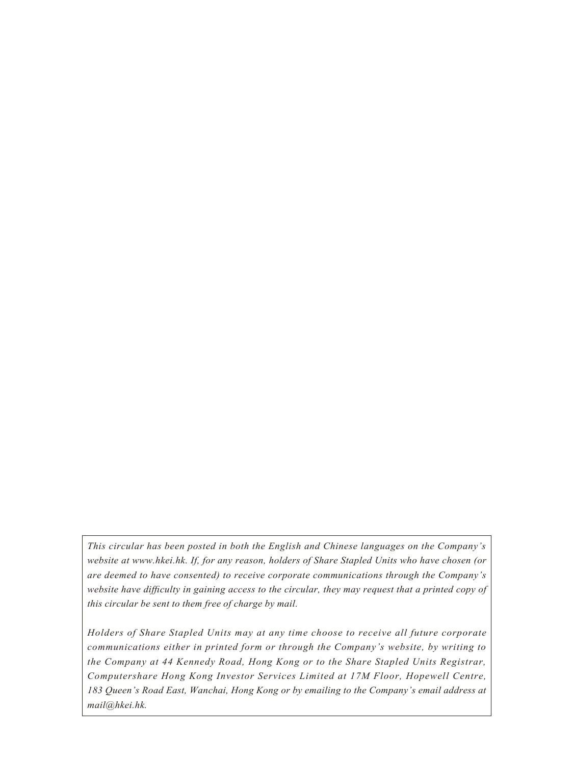*This circular has been posted in both the English and Chinese languages on the Company's website at www.hkei.hk. If, for any reason, holders of Share Stapled Units who have chosen (or are deemed to have consented) to receive corporate communications through the Company's website have difficulty in gaining access to the circular, they may request that a printed copy of this circular be sent to them free of charge by mail.*

*Holders of Share Stapled Units may at any time choose to receive all future corporate communications either in printed form or through the Company's website, by writing to the Company at 44 Kennedy Road, Hong Kong or to the Share Stapled Units Registrar, Computershare Hong Kong Investor Services Limited at 17M Floor, Hopewell Centre, 183 Queen's Road East, Wanchai, Hong Kong or by emailing to the Company's email address at mail@hkei.hk.*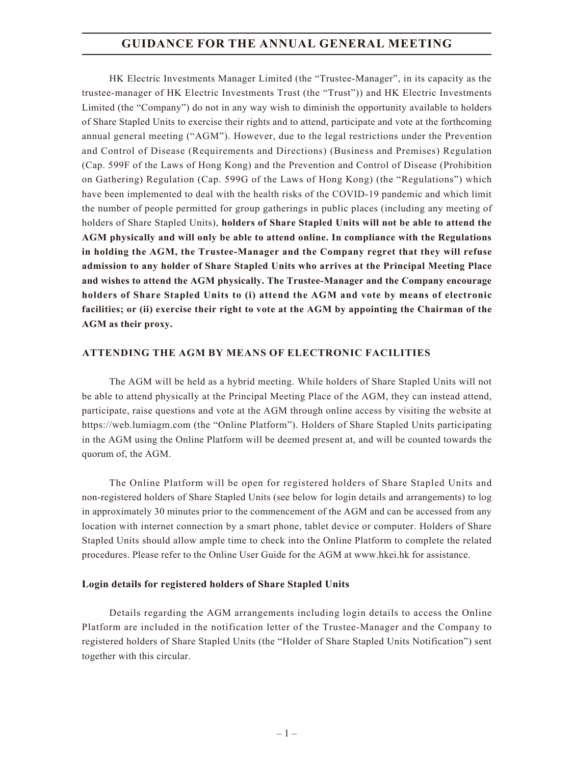## **GUIDANCE FOR THE ANNUAL GENERAL MEETING**

HK Electric Investments Manager Limited (the "Trustee-Manager", in its capacity as the trustee-manager of HK Electric Investments Trust (the "Trust")) and HK Electric Investments Limited (the "Company") do not in any way wish to diminish the opportunity available to holders of Share Stapled Units to exercise their rights and to attend, participate and vote at the forthcoming annual general meeting ("AGM"). However, due to the legal restrictions under the Prevention and Control of Disease (Requirements and Directions) (Business and Premises) Regulation (Cap. 599F of the Laws of Hong Kong) and the Prevention and Control of Disease (Prohibition on Gathering) Regulation (Cap. 599G of the Laws of Hong Kong) (the "Regulations") which have been implemented to deal with the health risks of the COVID-19 pandemic and which limit the number of people permitted for group gatherings in public places (including any meeting of holders of Share Stapled Units), **holders of Share Stapled Units will not be able to attend the AGM physically and will only be able to attend online. In compliance with the Regulations in holding the AGM, the Trustee-Manager and the Company regret that they will refuse admission to any holder of Share Stapled Units who arrives at the Principal Meeting Place and wishes to attend the AGM physically. The Trustee-Manager and the Company encourage holders of Share Stapled Units to (i) attend the AGM and vote by means of electronic facilities; or (ii) exercise their right to vote at the AGM by appointing the Chairman of the AGM as their proxy.**

### **ATTENDING THE AGM BY MEANS OF ELECTRONIC FACILITIES**

The AGM will be held as a hybrid meeting. While holders of Share Stapled Units will not be able to attend physically at the Principal Meeting Place of the AGM, they can instead attend, participate, raise questions and vote at the AGM through online access by visiting the website at https://web.lumiagm.com (the "Online Platform"). Holders of Share Stapled Units participating in the AGM using the Online Platform will be deemed present at, and will be counted towards the quorum of, the AGM.

The Online Platform will be open for registered holders of Share Stapled Units and non-registered holders of Share Stapled Units (see below for login details and arrangements) to log in approximately 30 minutes prior to the commencement of the AGM and can be accessed from any location with internet connection by a smart phone, tablet device or computer. Holders of Share Stapled Units should allow ample time to check into the Online Platform to complete the related procedures. Please refer to the Online User Guide for the AGM at www.hkei.hk for assistance.

#### **Login details for registered holders of Share Stapled Units**

Details regarding the AGM arrangements including login details to access the Online Platform are included in the notification letter of the Trustee-Manager and the Company to registered holders of Share Stapled Units (the "Holder of Share Stapled Units Notification") sent together with this circular.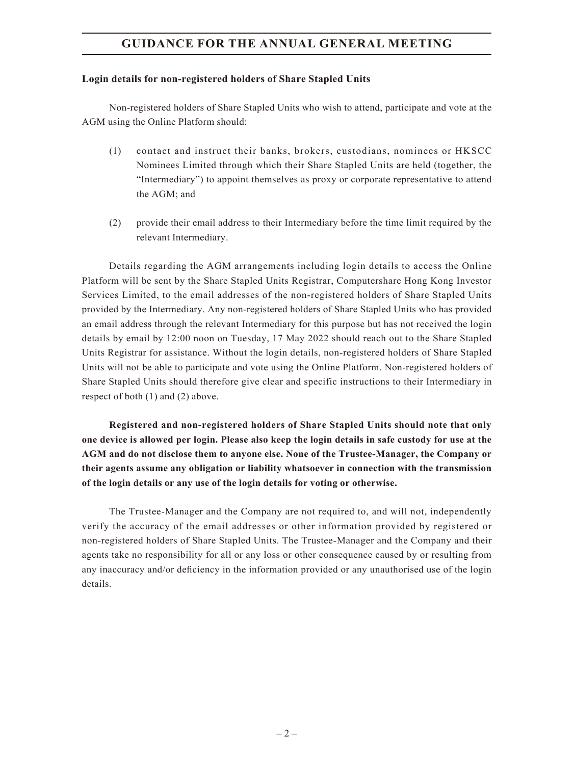# **GUIDANCE FOR THE ANNUAL GENERAL MEETING**

#### **Login details for non-registered holders of Share Stapled Units**

Non-registered holders of Share Stapled Units who wish to attend, participate and vote at the AGM using the Online Platform should:

- (1) contact and instruct their banks, brokers, custodians, nominees or HKSCC Nominees Limited through which their Share Stapled Units are held (together, the "Intermediary") to appoint themselves as proxy or corporate representative to attend the AGM; and
- (2) provide their email address to their Intermediary before the time limit required by the relevant Intermediary.

Details regarding the AGM arrangements including login details to access the Online Platform will be sent by the Share Stapled Units Registrar, Computershare Hong Kong Investor Services Limited, to the email addresses of the non-registered holders of Share Stapled Units provided by the Intermediary. Any non-registered holders of Share Stapled Units who has provided an email address through the relevant Intermediary for this purpose but has not received the login details by email by 12:00 noon on Tuesday, 17 May 2022 should reach out to the Share Stapled Units Registrar for assistance. Without the login details, non-registered holders of Share Stapled Units will not be able to participate and vote using the Online Platform. Non-registered holders of Share Stapled Units should therefore give clear and specific instructions to their Intermediary in respect of both (1) and (2) above.

**Registered and non-registered holders of Share Stapled Units should note that only one device is allowed per login. Please also keep the login details in safe custody for use at the AGM and do not disclose them to anyone else. None of the Trustee-Manager, the Company or their agents assume any obligation or liability whatsoever in connection with the transmission of the login details or any use of the login details for voting or otherwise.**

The Trustee-Manager and the Company are not required to, and will not, independently verify the accuracy of the email addresses or other information provided by registered or non-registered holders of Share Stapled Units. The Trustee-Manager and the Company and their agents take no responsibility for all or any loss or other consequence caused by or resulting from any inaccuracy and/or deficiency in the information provided or any unauthorised use of the login details.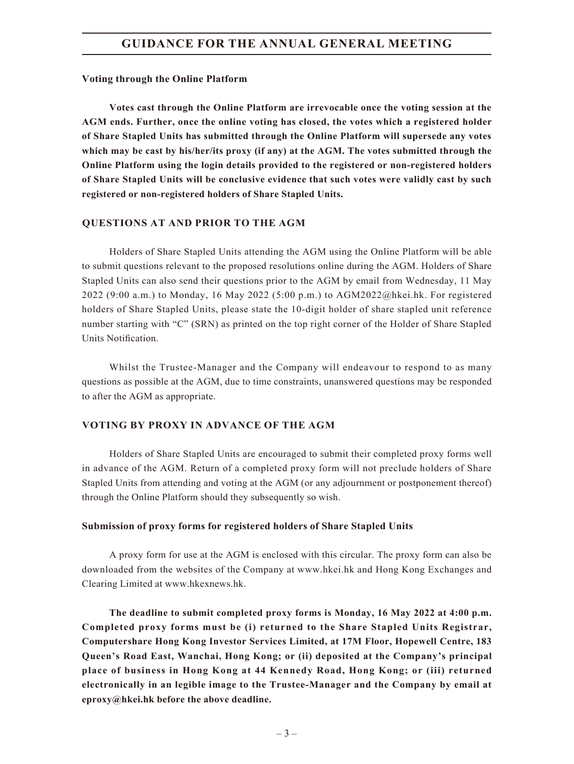#### **Voting through the Online Platform**

**Votes cast through the Online Platform are irrevocable once the voting session at the AGM ends. Further, once the online voting has closed, the votes which a registered holder of Share Stapled Units has submitted through the Online Platform will supersede any votes which may be cast by his/her/its proxy (if any) at the AGM. The votes submitted through the Online Platform using the login details provided to the registered or non-registered holders of Share Stapled Units will be conclusive evidence that such votes were validly cast by such registered or non-registered holders of Share Stapled Units.**

#### **QUESTIONS AT AND PRIOR TO THE AGM**

Holders of Share Stapled Units attending the AGM using the Online Platform will be able to submit questions relevant to the proposed resolutions online during the AGM. Holders of Share Stapled Units can also send their questions prior to the AGM by email from Wednesday, 11 May 2022 (9:00 a.m.) to Monday, 16 May 2022 (5:00 p.m.) to AGM2022@hkei.hk. For registered holders of Share Stapled Units, please state the 10-digit holder of share stapled unit reference number starting with "C" (SRN) as printed on the top right corner of the Holder of Share Stapled Units Notification.

Whilst the Trustee-Manager and the Company will endeavour to respond to as many questions as possible at the AGM, due to time constraints, unanswered questions may be responded to after the AGM as appropriate.

## **VOTING BY PROXY IN ADVANCE OF THE AGM**

Holders of Share Stapled Units are encouraged to submit their completed proxy forms well in advance of the AGM. Return of a completed proxy form will not preclude holders of Share Stapled Units from attending and voting at the AGM (or any adjournment or postponement thereof) through the Online Platform should they subsequently so wish.

#### **Submission of proxy forms for registered holders of Share Stapled Units**

A proxy form for use at the AGM is enclosed with this circular. The proxy form can also be downloaded from the websites of the Company at www.hkei.hk and Hong Kong Exchanges and Clearing Limited at www.hkexnews.hk.

**The deadline to submit completed proxy forms is Monday, 16 May 2022 at 4:00 p.m. Completed proxy forms must be (i) returned to the Share Stapled Units Registrar, Computershare Hong Kong Investor Services Limited, at 17M Floor, Hopewell Centre, 183 Queen's Road East, Wanchai, Hong Kong; or (ii) deposited at the Company's principal place of business in Hong Kong at 44 Kennedy Road, Hong Kong; or (iii) returned electronically in an legible image to the Trustee-Manager and the Company by email at eproxy@hkei.hk before the above deadline.**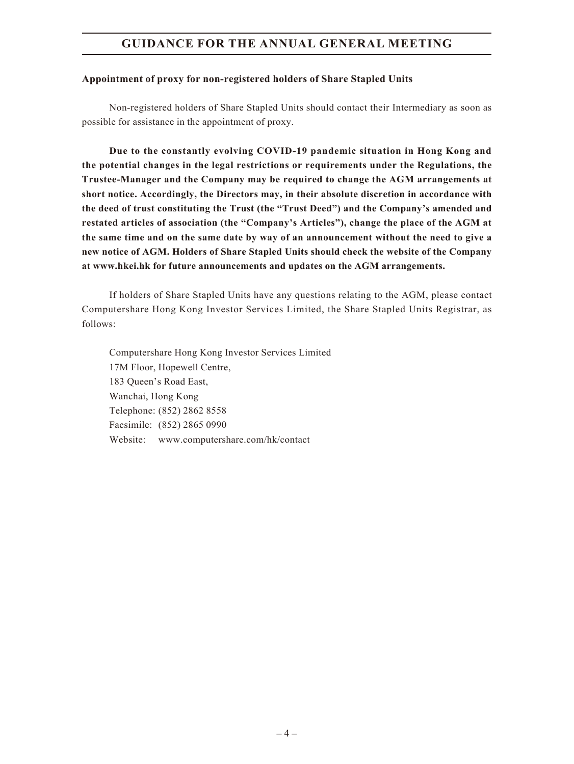# **GUIDANCE FOR THE ANNUAL GENERAL MEETING**

#### **Appointment of proxy for non-registered holders of Share Stapled Units**

Non-registered holders of Share Stapled Units should contact their Intermediary as soon as possible for assistance in the appointment of proxy.

**Due to the constantly evolving COVID-19 pandemic situation in Hong Kong and the potential changes in the legal restrictions or requirements under the Regulations, the Trustee-Manager and the Company may be required to change the AGM arrangements at short notice. Accordingly, the Directors may, in their absolute discretion in accordance with the deed of trust constituting the Trust (the "Trust Deed") and the Company's amended and restated articles of association (the "Company's Articles"), change the place of the AGM at the same time and on the same date by way of an announcement without the need to give a new notice of AGM. Holders of Share Stapled Units should check the website of the Company at www.hkei.hk for future announcements and updates on the AGM arrangements.**

If holders of Share Stapled Units have any questions relating to the AGM, please contact Computershare Hong Kong Investor Services Limited, the Share Stapled Units Registrar, as follows:

Computershare Hong Kong Investor Services Limited 17M Floor, Hopewell Centre, 183 Queen's Road East, Wanchai, Hong Kong Telephone: (852) 2862 8558 Facsimile: (852) 2865 0990 Website: www.computershare.com/hk/contact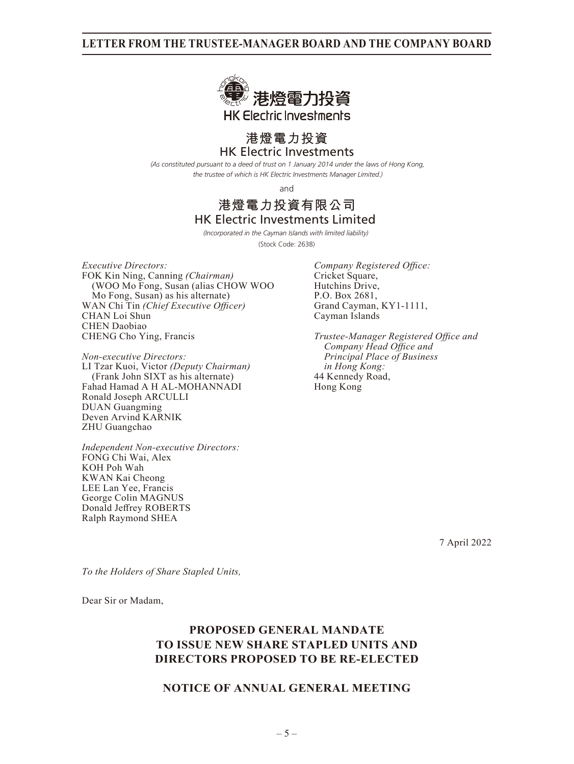

# HK Electric Investments **港燈電力投資**

*(As constituted pursuant to a deed of trust on 1 January 2014 under the laws of Hong Kong, the trustee of which is HK Electric Investments Manager Limited.)*

and

## HK Electric Investments Limited **港燈電力投資有限公司**

*(Incorporated in the Cayman Islands with limited liability)*  (Stock Code: 2638)

*Executive Directors: Company Registered Office:* FOK Kin Ning, Canning *(Chairman)* Cricket Square, (WOO Mo Fong, Susan (alias CHOW WOO Hutchins Drive,<br>
Mo Fong, Susan) as his alternate P.O. Box 2681. Mo Fong, Susan) as his alternate) P.O. Box 2681,<br>
AN Chi Tin (Chief Executive Officer) Grand Cayman, KY1-1111, WAN Chi Tin *(Chief Executive Officer)* Grand Cayman, CHAN Loi Shun<br>CAY-1111, Cayman Islands CHAN Loi Shun CHEN Daobiao<br>CHENG Cho Ying, Francis

*Non-executive Directors: Principal Place of Business* LI Tzar Kuoi, Victor *(Deputy Chairman) in Hong Kong:* (Frank John SIXT as his alternate) 44 Kennedy<br>had Hamad A H AL-MOHANNADI Hong Kong Fahad Hamad A H AL-MOHANNADI Ronald Joseph ARCULLI DUAN Guangming Deven Arvind KARNIK ZHU Guangchao

*Independent Non-executive Directors:* FONG Chi Wai, Alex KOH Poh Wah KWAN Kai Cheong LEE Lan Yee, Francis George Colin MAGNUS Donald Jeffrey ROBERTS Ralph Raymond SHEA

**Trustee-Manager Registered Office and** *Company Head Office and*

7 April 2022

*To the Holders of Share Stapled Units,*

Dear Sir or Madam,

# **PROPOSED GENERAL MANDATE TO ISSUE NEW SHARE STAPLED UNITS AND DIRECTORS PROPOSED TO BE RE-ELECTED**

## **NOTICE OF ANNUAL GENERAL MEETING**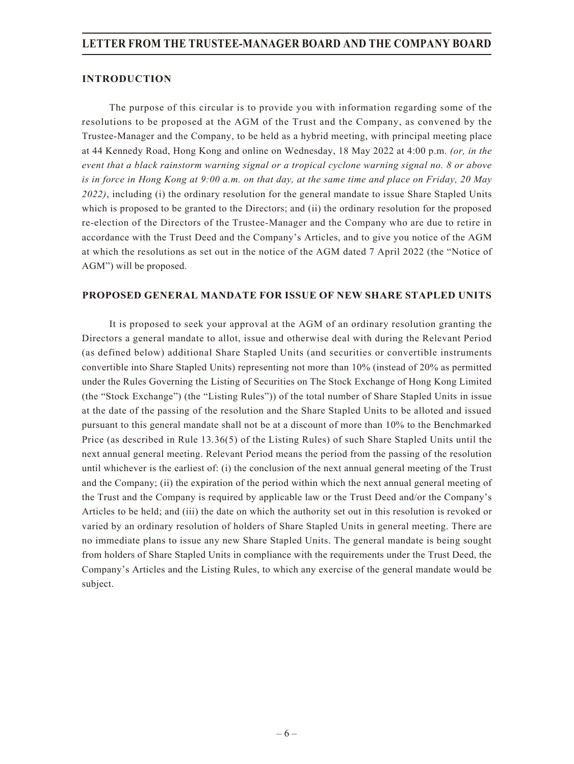### **INTRODUCTION**

The purpose of this circular is to provide you with information regarding some of the resolutions to be proposed at the AGM of the Trust and the Company, as convened by the Trustee-Manager and the Company, to be held as a hybrid meeting, with principal meeting place at 44 Kennedy Road, Hong Kong and online on Wednesday, 18 May 2022 at 4:00 p.m. *(or, in the event that a black rainstorm warning signal or a tropical cyclone warning signal no. 8 or above is in force in Hong Kong at 9:00 a.m. on that day, at the same time and place on Friday, 20 May 2022)*, including (i) the ordinary resolution for the general mandate to issue Share Stapled Units which is proposed to be granted to the Directors; and (ii) the ordinary resolution for the proposed re-election of the Directors of the Trustee-Manager and the Company who are due to retire in accordance with the Trust Deed and the Company's Articles, and to give you notice of the AGM at which the resolutions as set out in the notice of the AGM dated 7 April 2022 (the "Notice of AGM") will be proposed.

#### **PROPOSED GENERAL MANDATE FOR ISSUE OF NEW SHARE STAPLED UNITS**

It is proposed to seek your approval at the AGM of an ordinary resolution granting the Directors a general mandate to allot, issue and otherwise deal with during the Relevant Period (as defined below) additional Share Stapled Units (and securities or convertible instruments convertible into Share Stapled Units) representing not more than 10% (instead of 20% as permitted under the Rules Governing the Listing of Securities on The Stock Exchange of Hong Kong Limited (the "Stock Exchange") (the "Listing Rules")) of the total number of Share Stapled Units in issue at the date of the passing of the resolution and the Share Stapled Units to be alloted and issued pursuant to this general mandate shall not be at a discount of more than 10% to the Benchmarked Price (as described in Rule 13.36(5) of the Listing Rules) of such Share Stapled Units until the next annual general meeting. Relevant Period means the period from the passing of the resolution until whichever is the earliest of: (i) the conclusion of the next annual general meeting of the Trust and the Company; (ii) the expiration of the period within which the next annual general meeting of the Trust and the Company is required by applicable law or the Trust Deed and/or the Company's Articles to be held; and (iii) the date on which the authority set out in this resolution is revoked or varied by an ordinary resolution of holders of Share Stapled Units in general meeting. There are no immediate plans to issue any new Share Stapled Units. The general mandate is being sought from holders of Share Stapled Units in compliance with the requirements under the Trust Deed, the Company's Articles and the Listing Rules, to which any exercise of the general mandate would be subject.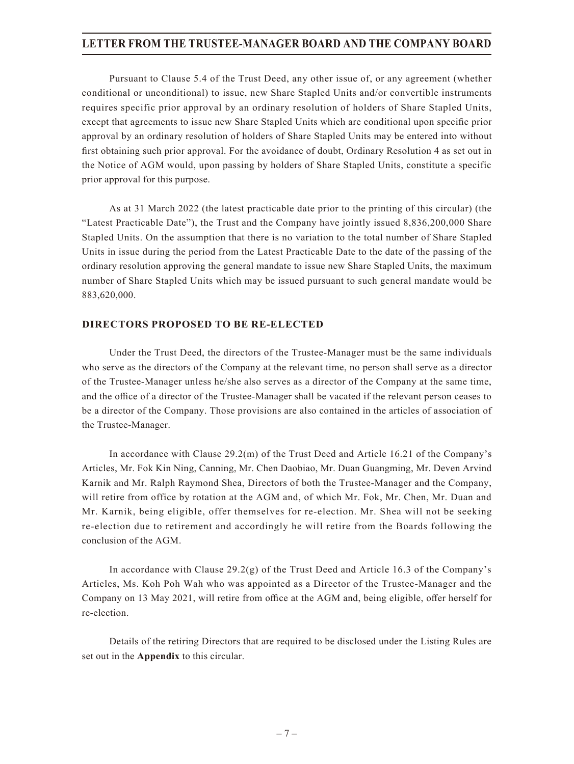Pursuant to Clause 5.4 of the Trust Deed, any other issue of, or any agreement (whether conditional or unconditional) to issue, new Share Stapled Units and/or convertible instruments requires specific prior approval by an ordinary resolution of holders of Share Stapled Units, except that agreements to issue new Share Stapled Units which are conditional upon specific prior approval by an ordinary resolution of holders of Share Stapled Units may be entered into without first obtaining such prior approval. For the avoidance of doubt, Ordinary Resolution 4 as set out in the Notice of AGM would, upon passing by holders of Share Stapled Units, constitute a specific prior approval for this purpose.

As at 31 March 2022 (the latest practicable date prior to the printing of this circular) (the "Latest Practicable Date"), the Trust and the Company have jointly issued 8,836,200,000 Share Stapled Units. On the assumption that there is no variation to the total number of Share Stapled Units in issue during the period from the Latest Practicable Date to the date of the passing of the ordinary resolution approving the general mandate to issue new Share Stapled Units, the maximum number of Share Stapled Units which may be issued pursuant to such general mandate would be 883,620,000.

#### **DIRECTORS PROPOSED TO BE RE-ELECTED**

Under the Trust Deed, the directors of the Trustee-Manager must be the same individuals who serve as the directors of the Company at the relevant time, no person shall serve as a director of the Trustee-Manager unless he/she also serves as a director of the Company at the same time, and the office of a director of the Trustee-Manager shall be vacated if the relevant person ceases to be a director of the Company. Those provisions are also contained in the articles of association of the Trustee-Manager.

In accordance with Clause 29.2(m) of the Trust Deed and Article 16.21 of the Company's Articles, Mr. Fok Kin Ning, Canning, Mr. Chen Daobiao, Mr. Duan Guangming, Mr. Deven Arvind Karnik and Mr. Ralph Raymond Shea, Directors of both the Trustee-Manager and the Company, will retire from office by rotation at the AGM and, of which Mr. Fok, Mr. Chen, Mr. Duan and Mr. Karnik, being eligible, offer themselves for re-election. Mr. Shea will not be seeking re-election due to retirement and accordingly he will retire from the Boards following the conclusion of the AGM.

In accordance with Clause 29.2(g) of the Trust Deed and Article 16.3 of the Company's Articles, Ms. Koh Poh Wah who was appointed as a Director of the Trustee-Manager and the Company on 13 May 2021, will retire from office at the AGM and, being eligible, offer herself for re-election.

Details of the retiring Directors that are required to be disclosed under the Listing Rules are set out in the **Appendix** to this circular.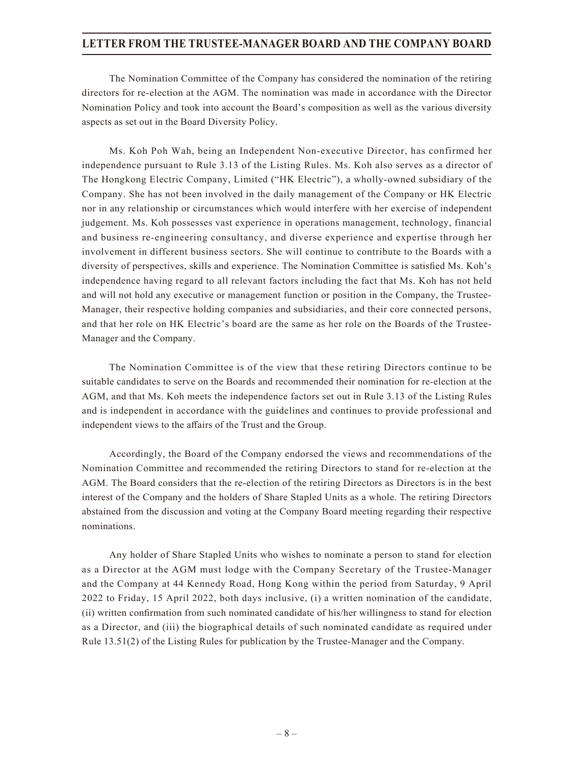The Nomination Committee of the Company has considered the nomination of the retiring directors for re-election at the AGM. The nomination was made in accordance with the Director Nomination Policy and took into account the Board's composition as well as the various diversity aspects as set out in the Board Diversity Policy.

Ms. Koh Poh Wah, being an Independent Non-executive Director, has confirmed her independence pursuant to Rule 3.13 of the Listing Rules. Ms. Koh also serves as a director of The Hongkong Electric Company, Limited ("HK Electric"), a wholly-owned subsidiary of the Company. She has not been involved in the daily management of the Company or HK Electric nor in any relationship or circumstances which would interfere with her exercise of independent judgement. Ms. Koh possesses vast experience in operations management, technology, financial and business re-engineering consultancy, and diverse experience and expertise through her involvement in different business sectors. She will continue to contribute to the Boards with a diversity of perspectives, skills and experience. The Nomination Committee is satisfied Ms. Koh's independence having regard to all relevant factors including the fact that Ms. Koh has not held and will not hold any executive or management function or position in the Company, the Trustee-Manager, their respective holding companies and subsidiaries, and their core connected persons, and that her role on HK Electric's board are the same as her role on the Boards of the Trustee-Manager and the Company.

The Nomination Committee is of the view that these retiring Directors continue to be suitable candidates to serve on the Boards and recommended their nomination for re-election at the AGM, and that Ms. Koh meets the independence factors set out in Rule 3.13 of the Listing Rules and is independent in accordance with the guidelines and continues to provide professional and independent views to the affairs of the Trust and the Group.

Accordingly, the Board of the Company endorsed the views and recommendations of the Nomination Committee and recommended the retiring Directors to stand for re-election at the AGM. The Board considers that the re-election of the retiring Directors as Directors is in the best interest of the Company and the holders of Share Stapled Units as a whole. The retiring Directors abstained from the discussion and voting at the Company Board meeting regarding their respective nominations.

Any holder of Share Stapled Units who wishes to nominate a person to stand for election as a Director at the AGM must lodge with the Company Secretary of the Trustee-Manager and the Company at 44 Kennedy Road, Hong Kong within the period from Saturday, 9 April 2022 to Friday, 15 April 2022, both days inclusive, (i) a written nomination of the candidate, (ii) written confirmation from such nominated candidate of his/her willingness to stand for election as a Director, and (iii) the biographical details of such nominated candidate as required under Rule 13.51(2) of the Listing Rules for publication by the Trustee-Manager and the Company.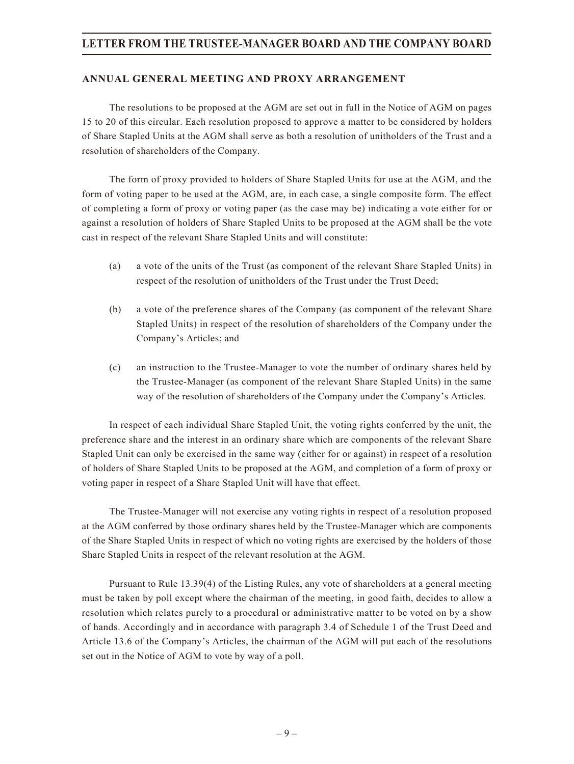### **ANNUAL GENERAL MEETING AND PROXY ARRANGEMENT**

The resolutions to be proposed at the AGM are set out in full in the Notice of AGM on pages 15 to 20 of this circular. Each resolution proposed to approve a matter to be considered by holders of Share Stapled Units at the AGM shall serve as both a resolution of unitholders of the Trust and a resolution of shareholders of the Company.

The form of proxy provided to holders of Share Stapled Units for use at the AGM, and the form of voting paper to be used at the AGM, are, in each case, a single composite form. The effect of completing a form of proxy or voting paper (as the case may be) indicating a vote either for or against a resolution of holders of Share Stapled Units to be proposed at the AGM shall be the vote cast in respect of the relevant Share Stapled Units and will constitute:

- (a) a vote of the units of the Trust (as component of the relevant Share Stapled Units) in respect of the resolution of unitholders of the Trust under the Trust Deed;
- (b) a vote of the preference shares of the Company (as component of the relevant Share Stapled Units) in respect of the resolution of shareholders of the Company under the Company's Articles; and
- (c) an instruction to the Trustee-Manager to vote the number of ordinary shares held by the Trustee-Manager (as component of the relevant Share Stapled Units) in the same way of the resolution of shareholders of the Company under the Company's Articles.

In respect of each individual Share Stapled Unit, the voting rights conferred by the unit, the preference share and the interest in an ordinary share which are components of the relevant Share Stapled Unit can only be exercised in the same way (either for or against) in respect of a resolution of holders of Share Stapled Units to be proposed at the AGM, and completion of a form of proxy or voting paper in respect of a Share Stapled Unit will have that effect.

The Trustee-Manager will not exercise any voting rights in respect of a resolution proposed at the AGM conferred by those ordinary shares held by the Trustee-Manager which are components of the Share Stapled Units in respect of which no voting rights are exercised by the holders of those Share Stapled Units in respect of the relevant resolution at the AGM.

Pursuant to Rule 13.39(4) of the Listing Rules, any vote of shareholders at a general meeting must be taken by poll except where the chairman of the meeting, in good faith, decides to allow a resolution which relates purely to a procedural or administrative matter to be voted on by a show of hands. Accordingly and in accordance with paragraph 3.4 of Schedule 1 of the Trust Deed and Article 13.6 of the Company's Articles, the chairman of the AGM will put each of the resolutions set out in the Notice of AGM to vote by way of a poll.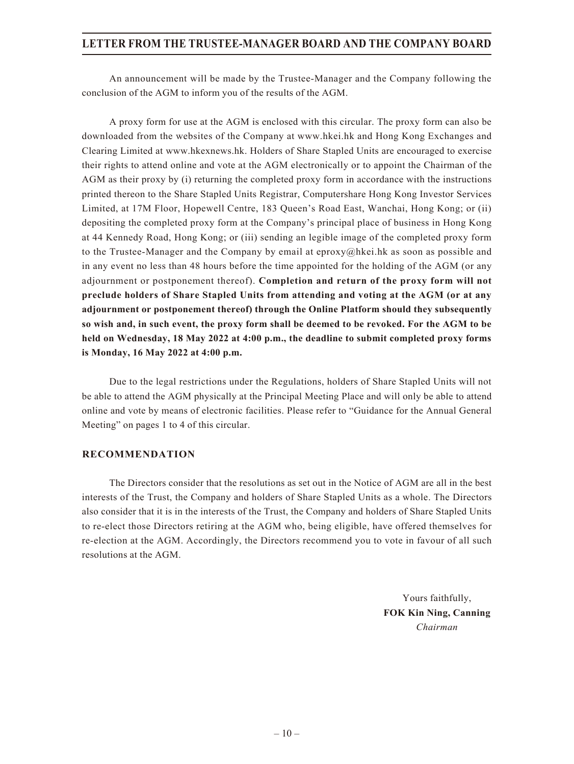An announcement will be made by the Trustee-Manager and the Company following the conclusion of the AGM to inform you of the results of the AGM.

A proxy form for use at the AGM is enclosed with this circular. The proxy form can also be downloaded from the websites of the Company at www.hkei.hk and Hong Kong Exchanges and Clearing Limited at www.hkexnews.hk. Holders of Share Stapled Units are encouraged to exercise their rights to attend online and vote at the AGM electronically or to appoint the Chairman of the AGM as their proxy by (i) returning the completed proxy form in accordance with the instructions printed thereon to the Share Stapled Units Registrar, Computershare Hong Kong Investor Services Limited, at 17M Floor, Hopewell Centre, 183 Queen's Road East, Wanchai, Hong Kong; or (ii) depositing the completed proxy form at the Company's principal place of business in Hong Kong at 44 Kennedy Road, Hong Kong; or (iii) sending an legible image of the completed proxy form to the Trustee-Manager and the Company by email at eproxy@hkei.hk as soon as possible and in any event no less than 48 hours before the time appointed for the holding of the AGM (or any adjournment or postponement thereof). **Completion and return of the proxy form will not preclude holders of Share Stapled Units from attending and voting at the AGM (or at any adjournment or postponement thereof) through the Online Platform should they subsequently so wish and, in such event, the proxy form shall be deemed to be revoked. For the AGM to be held on Wednesday, 18 May 2022 at 4:00 p.m., the deadline to submit completed proxy forms is Monday, 16 May 2022 at 4:00 p.m.**

Due to the legal restrictions under the Regulations, holders of Share Stapled Units will not be able to attend the AGM physically at the Principal Meeting Place and will only be able to attend online and vote by means of electronic facilities. Please refer to "Guidance for the Annual General Meeting" on pages 1 to 4 of this circular.

## **RECOMMENDATION**

The Directors consider that the resolutions as set out in the Notice of AGM are all in the best interests of the Trust, the Company and holders of Share Stapled Units as a whole. The Directors also consider that it is in the interests of the Trust, the Company and holders of Share Stapled Units to re-elect those Directors retiring at the AGM who, being eligible, have offered themselves for re-election at the AGM. Accordingly, the Directors recommend you to vote in favour of all such resolutions at the AGM.

> Yours faithfully, **FOK Kin Ning, Canning** *Chairman*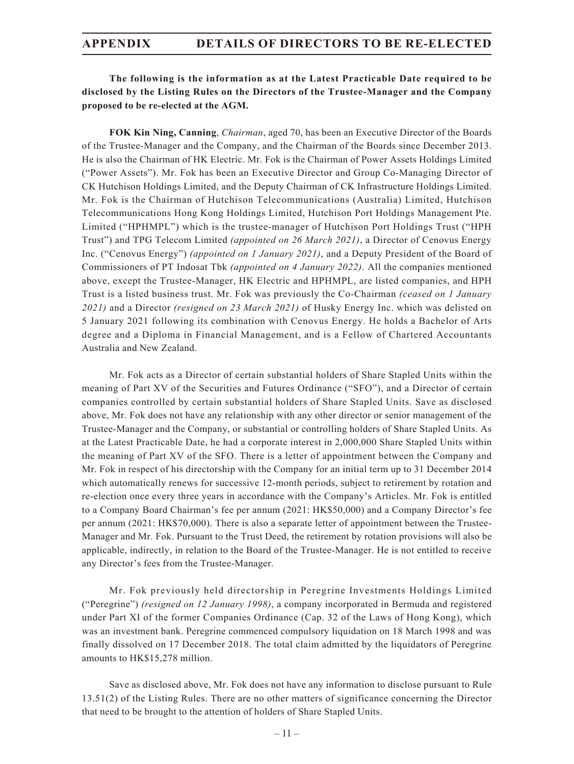## **The following is the information as at the Latest Practicable Date required to be disclosed by the Listing Rules on the Directors of the Trustee-Manager and the Company proposed to be re-elected at the AGM.**

**FOK Kin Ning, Canning**, *Chairman*, aged 70, has been an Executive Director of the Boards of the Trustee-Manager and the Company, and the Chairman of the Boards since December 2013. He is also the Chairman of HK Electric. Mr. Fok is the Chairman of Power Assets Holdings Limited ("Power Assets"). Mr. Fok has been an Executive Director and Group Co-Managing Director of CK Hutchison Holdings Limited, and the Deputy Chairman of CK Infrastructure Holdings Limited. Mr. Fok is the Chairman of Hutchison Telecommunications (Australia) Limited, Hutchison Telecommunications Hong Kong Holdings Limited, Hutchison Port Holdings Management Pte. Limited ("HPHMPL") which is the trustee-manager of Hutchison Port Holdings Trust ("HPH Trust") and TPG Telecom Limited *(appointed on 26 March 2021)*, a Director of Cenovus Energy Inc. ("Cenovus Energy") *(appointed on 1 January 2021)*, and a Deputy President of the Board of Commissioners of PT Indosat Tbk *(appointed on 4 January 2022)*. All the companies mentioned above, except the Trustee-Manager, HK Electric and HPHMPL, are listed companies, and HPH Trust is a listed business trust. Mr. Fok was previously the Co-Chairman *(ceased on 1 January 2021)* and a Director *(resigned on 23 March 2021)* of Husky Energy Inc. which was delisted on 5 January 2021 following its combination with Cenovus Energy. He holds a Bachelor of Arts degree and a Diploma in Financial Management, and is a Fellow of Chartered Accountants Australia and New Zealand.

Mr. Fok acts as a Director of certain substantial holders of Share Stapled Units within the meaning of Part XV of the Securities and Futures Ordinance ("SFO"), and a Director of certain companies controlled by certain substantial holders of Share Stapled Units. Save as disclosed above, Mr. Fok does not have any relationship with any other director or senior management of the Trustee-Manager and the Company, or substantial or controlling holders of Share Stapled Units. As at the Latest Practicable Date, he had a corporate interest in 2,000,000 Share Stapled Units within the meaning of Part XV of the SFO. There is a letter of appointment between the Company and Mr. Fok in respect of his directorship with the Company for an initial term up to 31 December 2014 which automatically renews for successive 12-month periods, subject to retirement by rotation and re-election once every three years in accordance with the Company's Articles. Mr. Fok is entitled to a Company Board Chairman's fee per annum (2021: HK\$50,000) and a Company Director's fee per annum (2021: HK\$70,000). There is also a separate letter of appointment between the Trustee-Manager and Mr. Fok. Pursuant to the Trust Deed, the retirement by rotation provisions will also be applicable, indirectly, in relation to the Board of the Trustee-Manager. He is not entitled to receive any Director's fees from the Trustee-Manager.

Mr. Fok previously held directorship in Peregrine Investments Holdings Limited ("Peregrine") *(resigned on 12 January 1998)*, a company incorporated in Bermuda and registered under Part XI of the former Companies Ordinance (Cap. 32 of the Laws of Hong Kong), which was an investment bank. Peregrine commenced compulsory liquidation on 18 March 1998 and was finally dissolved on 17 December 2018. The total claim admitted by the liquidators of Peregrine amounts to HK\$15,278 million.

Save as disclosed above, Mr. Fok does not have any information to disclose pursuant to Rule 13.51(2) of the Listing Rules. There are no other matters of significance concerning the Director that need to be brought to the attention of holders of Share Stapled Units.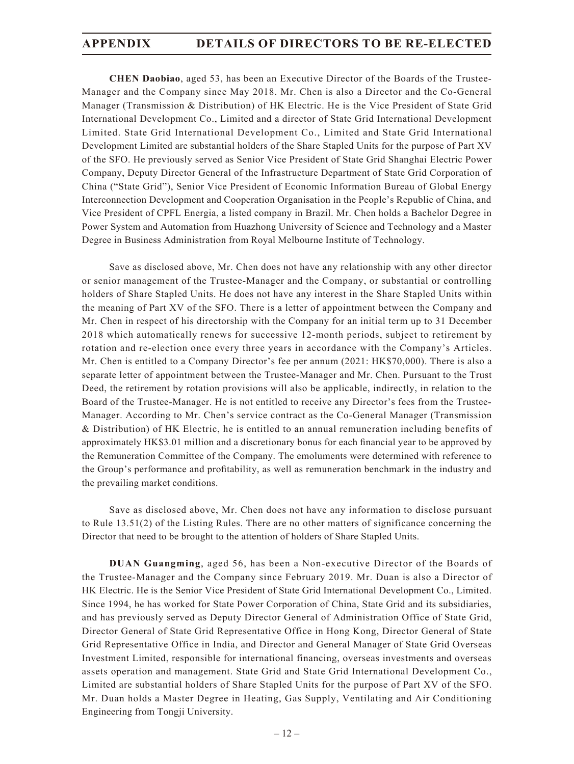**CHEN Daobiao**, aged 53, has been an Executive Director of the Boards of the Trustee-Manager and the Company since May 2018. Mr. Chen is also a Director and the Co-General Manager (Transmission & Distribution) of HK Electric. He is the Vice President of State Grid International Development Co., Limited and a director of State Grid International Development Limited. State Grid International Development Co., Limited and State Grid International Development Limited are substantial holders of the Share Stapled Units for the purpose of Part XV of the SFO. He previously served as Senior Vice President of State Grid Shanghai Electric Power Company, Deputy Director General of the Infrastructure Department of State Grid Corporation of China ("State Grid"), Senior Vice President of Economic Information Bureau of Global Energy Interconnection Development and Cooperation Organisation in the People's Republic of China, and Vice President of CPFL Energia, a listed company in Brazil. Mr. Chen holds a Bachelor Degree in Power System and Automation from Huazhong University of Science and Technology and a Master Degree in Business Administration from Royal Melbourne Institute of Technology.

Save as disclosed above, Mr. Chen does not have any relationship with any other director or senior management of the Trustee-Manager and the Company, or substantial or controlling holders of Share Stapled Units. He does not have any interest in the Share Stapled Units within the meaning of Part XV of the SFO. There is a letter of appointment between the Company and Mr. Chen in respect of his directorship with the Company for an initial term up to 31 December 2018 which automatically renews for successive 12-month periods, subject to retirement by rotation and re-election once every three years in accordance with the Company's Articles. Mr. Chen is entitled to a Company Director's fee per annum (2021: HK\$70,000). There is also a separate letter of appointment between the Trustee-Manager and Mr. Chen. Pursuant to the Trust Deed, the retirement by rotation provisions will also be applicable, indirectly, in relation to the Board of the Trustee-Manager. He is not entitled to receive any Director's fees from the Trustee-Manager. According to Mr. Chen's service contract as the Co-General Manager (Transmission & Distribution) of HK Electric, he is entitled to an annual remuneration including benefits of approximately HK\$3.01 million and a discretionary bonus for each financial year to be approved by the Remuneration Committee of the Company. The emoluments were determined with reference to the Group's performance and profitability, as well as remuneration benchmark in the industry and the prevailing market conditions.

Save as disclosed above, Mr. Chen does not have any information to disclose pursuant to Rule 13.51(2) of the Listing Rules. There are no other matters of significance concerning the Director that need to be brought to the attention of holders of Share Stapled Units.

**DUAN Guangming**, aged 56, has been a Non-executive Director of the Boards of the Trustee-Manager and the Company since February 2019. Mr. Duan is also a Director of HK Electric. He is the Senior Vice President of State Grid International Development Co., Limited. Since 1994, he has worked for State Power Corporation of China, State Grid and its subsidiaries, and has previously served as Deputy Director General of Administration Office of State Grid, Director General of State Grid Representative Office in Hong Kong, Director General of State Grid Representative Office in India, and Director and General Manager of State Grid Overseas Investment Limited, responsible for international financing, overseas investments and overseas assets operation and management. State Grid and State Grid International Development Co., Limited are substantial holders of Share Stapled Units for the purpose of Part XV of the SFO. Mr. Duan holds a Master Degree in Heating, Gas Supply, Ventilating and Air Conditioning Engineering from Tongji University.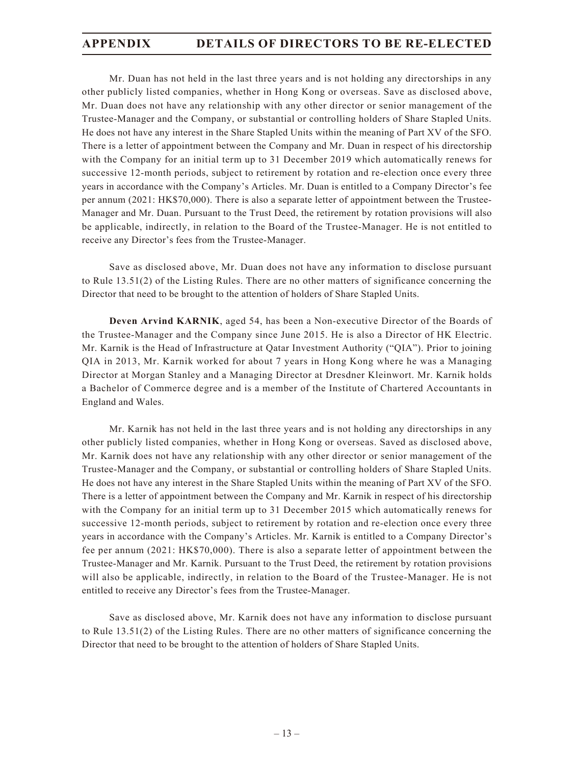Mr. Duan has not held in the last three years and is not holding any directorships in any other publicly listed companies, whether in Hong Kong or overseas. Save as disclosed above, Mr. Duan does not have any relationship with any other director or senior management of the Trustee-Manager and the Company, or substantial or controlling holders of Share Stapled Units. He does not have any interest in the Share Stapled Units within the meaning of Part XV of the SFO. There is a letter of appointment between the Company and Mr. Duan in respect of his directorship with the Company for an initial term up to 31 December 2019 which automatically renews for successive 12-month periods, subject to retirement by rotation and re-election once every three years in accordance with the Company's Articles. Mr. Duan is entitled to a Company Director's fee per annum (2021: HK\$70,000). There is also a separate letter of appointment between the Trustee-Manager and Mr. Duan. Pursuant to the Trust Deed, the retirement by rotation provisions will also be applicable, indirectly, in relation to the Board of the Trustee-Manager. He is not entitled to receive any Director's fees from the Trustee-Manager.

Save as disclosed above, Mr. Duan does not have any information to disclose pursuant to Rule 13.51(2) of the Listing Rules. There are no other matters of significance concerning the Director that need to be brought to the attention of holders of Share Stapled Units.

**Deven Arvind KARNIK**, aged 54, has been a Non-executive Director of the Boards of the Trustee-Manager and the Company since June 2015. He is also a Director of HK Electric. Mr. Karnik is the Head of Infrastructure at Qatar Investment Authority ("QIA"). Prior to joining QIA in 2013, Mr. Karnik worked for about 7 years in Hong Kong where he was a Managing Director at Morgan Stanley and a Managing Director at Dresdner Kleinwort. Mr. Karnik holds a Bachelor of Commerce degree and is a member of the Institute of Chartered Accountants in England and Wales.

Mr. Karnik has not held in the last three years and is not holding any directorships in any other publicly listed companies, whether in Hong Kong or overseas. Saved as disclosed above, Mr. Karnik does not have any relationship with any other director or senior management of the Trustee-Manager and the Company, or substantial or controlling holders of Share Stapled Units. He does not have any interest in the Share Stapled Units within the meaning of Part XV of the SFO. There is a letter of appointment between the Company and Mr. Karnik in respect of his directorship with the Company for an initial term up to 31 December 2015 which automatically renews for successive 12-month periods, subject to retirement by rotation and re-election once every three years in accordance with the Company's Articles. Mr. Karnik is entitled to a Company Director's fee per annum (2021: HK\$70,000). There is also a separate letter of appointment between the Trustee-Manager and Mr. Karnik. Pursuant to the Trust Deed, the retirement by rotation provisions will also be applicable, indirectly, in relation to the Board of the Trustee-Manager. He is not entitled to receive any Director's fees from the Trustee-Manager.

Save as disclosed above, Mr. Karnik does not have any information to disclose pursuant to Rule 13.51(2) of the Listing Rules. There are no other matters of significance concerning the Director that need to be brought to the attention of holders of Share Stapled Units.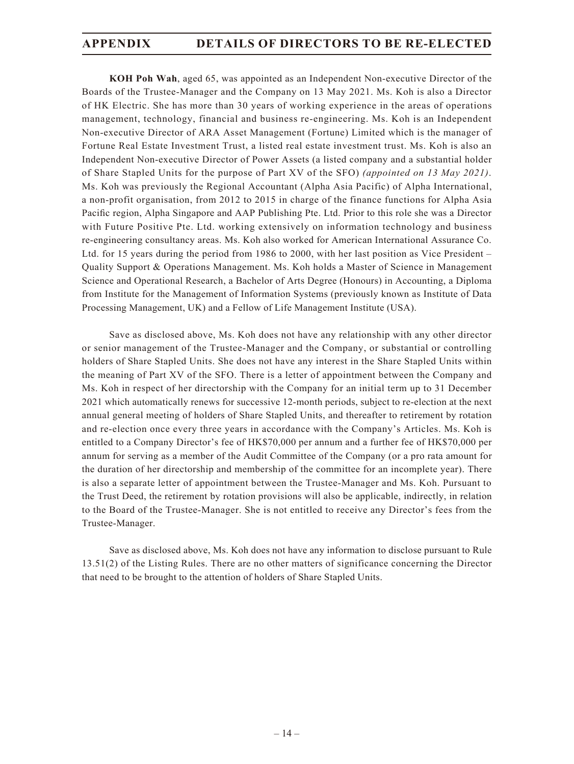**KOH Poh Wah**, aged 65, was appointed as an Independent Non-executive Director of the Boards of the Trustee-Manager and the Company on 13 May 2021. Ms. Koh is also a Director of HK Electric. She has more than 30 years of working experience in the areas of operations management, technology, financial and business re-engineering. Ms. Koh is an Independent Non-executive Director of ARA Asset Management (Fortune) Limited which is the manager of Fortune Real Estate Investment Trust, a listed real estate investment trust. Ms. Koh is also an Independent Non-executive Director of Power Assets (a listed company and a substantial holder of Share Stapled Units for the purpose of Part XV of the SFO) *(appointed on 13 May 2021)*. Ms. Koh was previously the Regional Accountant (Alpha Asia Pacific) of Alpha International, a non-profit organisation, from 2012 to 2015 in charge of the finance functions for Alpha Asia Pacific region, Alpha Singapore and AAP Publishing Pte. Ltd. Prior to this role she was a Director with Future Positive Pte. Ltd. working extensively on information technology and business re-engineering consultancy areas. Ms. Koh also worked for American International Assurance Co. Ltd. for 15 years during the period from 1986 to 2000, with her last position as Vice President – Quality Support & Operations Management. Ms. Koh holds a Master of Science in Management Science and Operational Research, a Bachelor of Arts Degree (Honours) in Accounting, a Diploma from Institute for the Management of Information Systems (previously known as Institute of Data Processing Management, UK) and a Fellow of Life Management Institute (USA).

Save as disclosed above, Ms. Koh does not have any relationship with any other director or senior management of the Trustee-Manager and the Company, or substantial or controlling holders of Share Stapled Units. She does not have any interest in the Share Stapled Units within the meaning of Part XV of the SFO. There is a letter of appointment between the Company and Ms. Koh in respect of her directorship with the Company for an initial term up to 31 December 2021 which automatically renews for successive 12-month periods, subject to re-election at the next annual general meeting of holders of Share Stapled Units, and thereafter to retirement by rotation and re-election once every three years in accordance with the Company's Articles. Ms. Koh is entitled to a Company Director's fee of HK\$70,000 per annum and a further fee of HK\$70,000 per annum for serving as a member of the Audit Committee of the Company (or a pro rata amount for the duration of her directorship and membership of the committee for an incomplete year). There is also a separate letter of appointment between the Trustee-Manager and Ms. Koh. Pursuant to the Trust Deed, the retirement by rotation provisions will also be applicable, indirectly, in relation to the Board of the Trustee-Manager. She is not entitled to receive any Director's fees from the Trustee-Manager.

Save as disclosed above, Ms. Koh does not have any information to disclose pursuant to Rule 13.51(2) of the Listing Rules. There are no other matters of significance concerning the Director that need to be brought to the attention of holders of Share Stapled Units.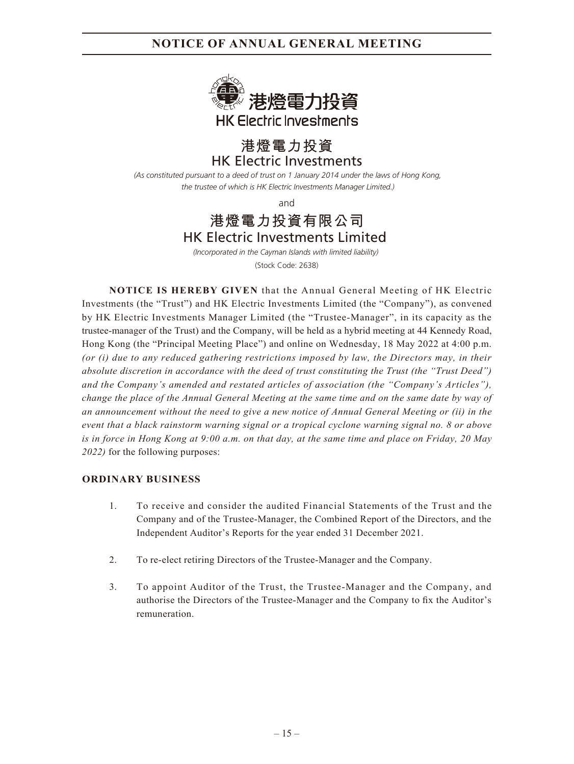

# HK Electric Investments **港燈電力投資**

*(As constituted pursuant to a deed of trust on 1 January 2014 under the laws of Hong Kong, the trustee of which is HK Electric Investments Manager Limited.)*

and

# HK Electric Investments Limited **港燈電力投資有限公司**

*(Incorporated in the Cayman Islands with limited liability)*  (Stock Code: 2638)

**NOTICE IS HEREBY GIVEN** that the Annual General Meeting of HK Electric Investments (the "Trust") and HK Electric Investments Limited (the "Company"), as convened by HK Electric Investments Manager Limited (the "Trustee-Manager", in its capacity as the trustee-manager of the Trust) and the Company, will be held as a hybrid meeting at 44 Kennedy Road, Hong Kong (the "Principal Meeting Place") and online on Wednesday, 18 May 2022 at 4:00 p.m. *(or (i) due to any reduced gathering restrictions imposed by law, the Directors may, in their absolute discretion in accordance with the deed of trust constituting the Trust (the "Trust Deed") and the Company's amended and restated articles of association (the "Company's Articles"), change the place of the Annual General Meeting at the same time and on the same date by way of an announcement without the need to give a new notice of Annual General Meeting or (ii) in the event that a black rainstorm warning signal or a tropical cyclone warning signal no. 8 or above is in force in Hong Kong at 9:00 a.m. on that day, at the same time and place on Friday, 20 May 2022)* for the following purposes:

## **ORDINARY BUSINESS**

- 1. To receive and consider the audited Financial Statements of the Trust and the Company and of the Trustee-Manager, the Combined Report of the Directors, and the Independent Auditor's Reports for the year ended 31 December 2021.
- 2. To re-elect retiring Directors of the Trustee-Manager and the Company.
- 3. To appoint Auditor of the Trust, the Trustee-Manager and the Company, and authorise the Directors of the Trustee-Manager and the Company to fix the Auditor's remuneration.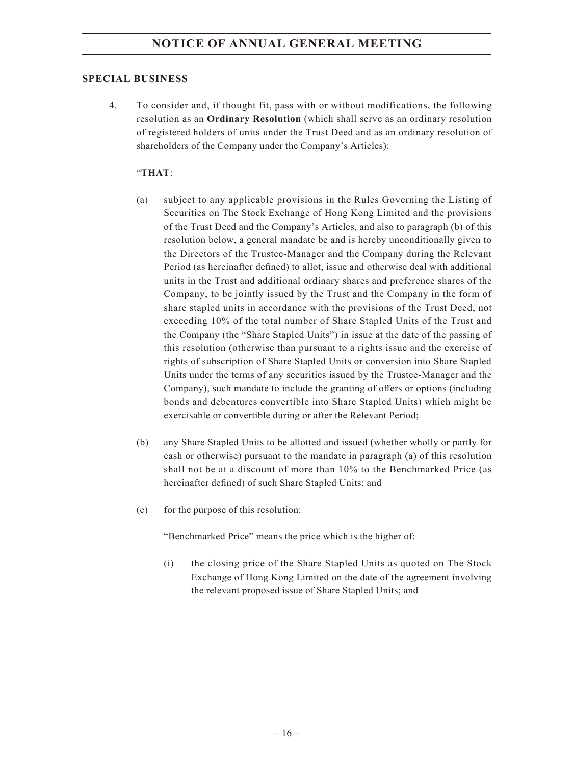## **SPECIAL BUSINESS**

4. To consider and, if thought fit, pass with or without modifications, the following resolution as an **Ordinary Resolution** (which shall serve as an ordinary resolution of registered holders of units under the Trust Deed and as an ordinary resolution of shareholders of the Company under the Company's Articles):

## "**THAT**:

- (a) subject to any applicable provisions in the Rules Governing the Listing of Securities on The Stock Exchange of Hong Kong Limited and the provisions of the Trust Deed and the Company's Articles, and also to paragraph (b) of this resolution below, a general mandate be and is hereby unconditionally given to the Directors of the Trustee-Manager and the Company during the Relevant Period (as hereinafter defined) to allot, issue and otherwise deal with additional units in the Trust and additional ordinary shares and preference shares of the Company, to be jointly issued by the Trust and the Company in the form of share stapled units in accordance with the provisions of the Trust Deed, not exceeding 10% of the total number of Share Stapled Units of the Trust and the Company (the "Share Stapled Units") in issue at the date of the passing of this resolution (otherwise than pursuant to a rights issue and the exercise of rights of subscription of Share Stapled Units or conversion into Share Stapled Units under the terms of any securities issued by the Trustee-Manager and the Company), such mandate to include the granting of offers or options (including bonds and debentures convertible into Share Stapled Units) which might be exercisable or convertible during or after the Relevant Period;
- (b) any Share Stapled Units to be allotted and issued (whether wholly or partly for cash or otherwise) pursuant to the mandate in paragraph (a) of this resolution shall not be at a discount of more than 10% to the Benchmarked Price (as hereinafter defined) of such Share Stapled Units; and
- (c) for the purpose of this resolution:

"Benchmarked Price" means the price which is the higher of:

(i) the closing price of the Share Stapled Units as quoted on The Stock Exchange of Hong Kong Limited on the date of the agreement involving the relevant proposed issue of Share Stapled Units; and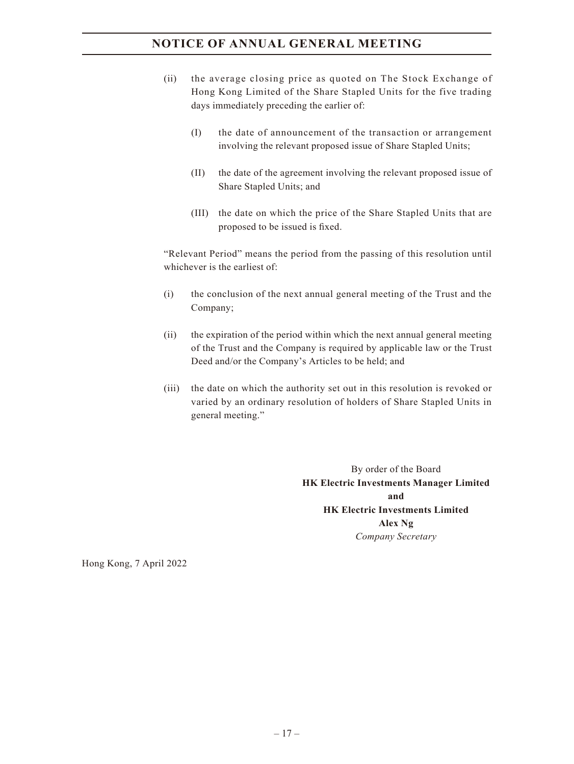- (ii) the average closing price as quoted on The Stock Exchange of Hong Kong Limited of the Share Stapled Units for the five trading days immediately preceding the earlier of:
	- (I) the date of announcement of the transaction or arrangement involving the relevant proposed issue of Share Stapled Units;
	- (II) the date of the agreement involving the relevant proposed issue of Share Stapled Units; and
	- (III) the date on which the price of the Share Stapled Units that are proposed to be issued is fixed.

"Relevant Period" means the period from the passing of this resolution until whichever is the earliest of:

- (i) the conclusion of the next annual general meeting of the Trust and the Company;
- (ii) the expiration of the period within which the next annual general meeting of the Trust and the Company is required by applicable law or the Trust Deed and/or the Company's Articles to be held; and
- (iii) the date on which the authority set out in this resolution is revoked or varied by an ordinary resolution of holders of Share Stapled Units in general meeting."

By order of the Board **HK Electric Investments Manager Limited and HK Electric Investments Limited Alex Ng** *Company Secretary*

Hong Kong, 7 April 2022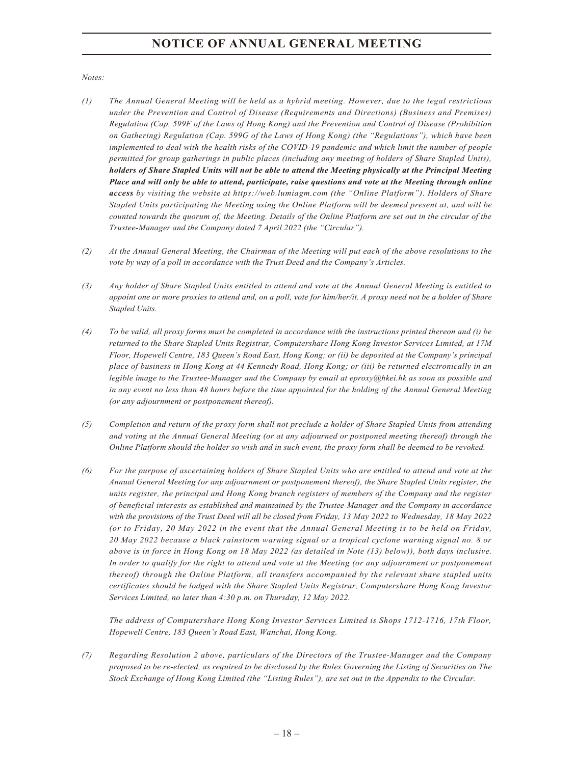*Notes:*

- *(1) The Annual General Meeting will be held as a hybrid meeting. However, due to the legal restrictions under the Prevention and Control of Disease (Requirements and Directions) (Business and Premises) Regulation (Cap. 599F of the Laws of Hong Kong) and the Prevention and Control of Disease (Prohibition on Gathering) Regulation (Cap. 599G of the Laws of Hong Kong) (the "Regulations"), which have been implemented to deal with the health risks of the COVID-19 pandemic and which limit the number of people permitted for group gatherings in public places (including any meeting of holders of Share Stapled Units), holders of Share Stapled Units will not be able to attend the Meeting physically at the Principal Meeting Place and will only be able to attend, participate, raise questions and vote at the Meeting through online access by visiting the website at https://web.lumiagm.com (the "Online Platform"). Holders of Share Stapled Units participating the Meeting using the Online Platform will be deemed present at, and will be counted towards the quorum of, the Meeting. Details of the Online Platform are set out in the circular of the Trustee-Manager and the Company dated 7 April 2022 (the "Circular").*
- *(2) At the Annual General Meeting, the Chairman of the Meeting will put each of the above resolutions to the vote by way of a poll in accordance with the Trust Deed and the Company's Articles.*
- *(3) Any holder of Share Stapled Units entitled to attend and vote at the Annual General Meeting is entitled to appoint one or more proxies to attend and, on a poll, vote for him/her/it. A proxy need not be a holder of Share Stapled Units.*
- *(4) To be valid, all proxy forms must be completed in accordance with the instructions printed thereon and (i) be returned to the Share Stapled Units Registrar, Computershare Hong Kong Investor Services Limited, at 17M Floor, Hopewell Centre, 183 Queen's Road East, Hong Kong; or (ii) be deposited at the Company's principal place of business in Hong Kong at 44 Kennedy Road, Hong Kong; or (iii) be returned electronically in an legible image to the Trustee-Manager and the Company by email at eproxy@hkei.hk as soon as possible and in any event no less than 48 hours before the time appointed for the holding of the Annual General Meeting (or any adjournment or postponement thereof).*
- *(5) Completion and return of the proxy form shall not preclude a holder of Share Stapled Units from attending and voting at the Annual General Meeting (or at any adjourned or postponed meeting thereof) through the Online Platform should the holder so wish and in such event, the proxy form shall be deemed to be revoked.*
- *(6) For the purpose of ascertaining holders of Share Stapled Units who are entitled to attend and vote at the Annual General Meeting (or any adjournment or postponement thereof), the Share Stapled Units register, the units register, the principal and Hong Kong branch registers of members of the Company and the register of beneficial interests as established and maintained by the Trustee-Manager and the Company in accordance with the provisions of the Trust Deed will all be closed from Friday, 13 May 2022 to Wednesday, 18 May 2022 (or to Friday, 20 May 2022 in the event that the Annual General Meeting is to be held on Friday, 20 May 2022 because a black rainstorm warning signal or a tropical cyclone warning signal no. 8 or above is in force in Hong Kong on 18 May 2022 (as detailed in Note (13) below)), both days inclusive. In order to qualify for the right to attend and vote at the Meeting (or any adjournment or postponement thereof) through the Online Platform, all transfers accompanied by the relevant share stapled units certificates should be lodged with the Share Stapled Units Registrar, Computershare Hong Kong Investor Services Limited, no later than 4:30 p.m. on Thursday, 12 May 2022.*

*The address of Computershare Hong Kong Investor Services Limited is Shops 1712-1716, 17th Floor, Hopewell Centre, 183 Queen's Road East, Wanchai, Hong Kong.*

*(7) Regarding Resolution 2 above, particulars of the Directors of the Trustee-Manager and the Company proposed to be re-elected, as required to be disclosed by the Rules Governing the Listing of Securities on The Stock Exchange of Hong Kong Limited (the "Listing Rules"), are set out in the Appendix to the Circular.*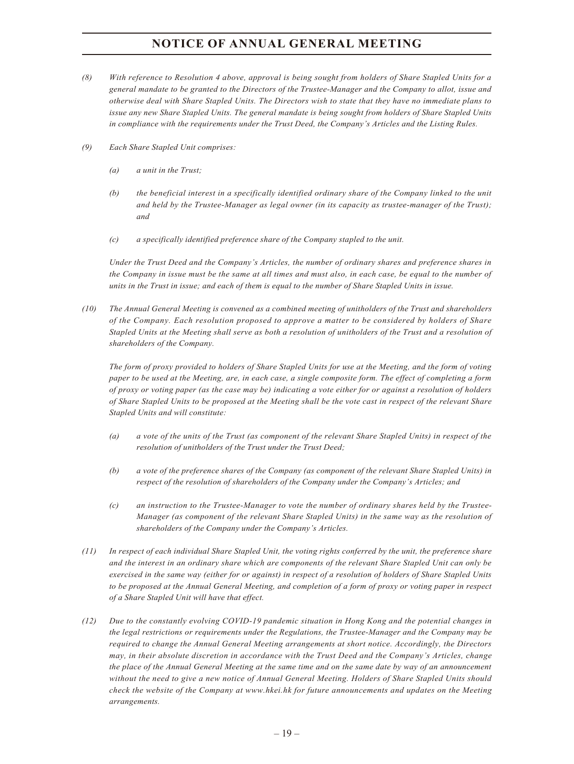- *(8) With reference to Resolution 4 above, approval is being sought from holders of Share Stapled Units for a general mandate to be granted to the Directors of the Trustee-Manager and the Company to allot, issue and otherwise deal with Share Stapled Units. The Directors wish to state that they have no immediate plans to issue any new Share Stapled Units. The general mandate is being sought from holders of Share Stapled Units in compliance with the requirements under the Trust Deed, the Company's Articles and the Listing Rules.*
- *(9) Each Share Stapled Unit comprises:*
	- *(a) a unit in the Trust;*
	- *(b) the beneficial interest in a specifically identified ordinary share of the Company linked to the unit and held by the Trustee-Manager as legal owner (in its capacity as trustee-manager of the Trust); and*
	- *(c) a specifically identified preference share of the Company stapled to the unit.*

*Under the Trust Deed and the Company's Articles, the number of ordinary shares and preference shares in the Company in issue must be the same at all times and must also, in each case, be equal to the number of units in the Trust in issue; and each of them is equal to the number of Share Stapled Units in issue.*

*(10) The Annual General Meeting is convened as a combined meeting of unitholders of the Trust and shareholders of the Company. Each resolution proposed to approve a matter to be considered by holders of Share Stapled Units at the Meeting shall serve as both a resolution of unitholders of the Trust and a resolution of shareholders of the Company.*

*The form of proxy provided to holders of Share Stapled Units for use at the Meeting, and the form of voting paper to be used at the Meeting, are, in each case, a single composite form. The effect of completing a form of proxy or voting paper (as the case may be) indicating a vote either for or against a resolution of holders of Share Stapled Units to be proposed at the Meeting shall be the vote cast in respect of the relevant Share Stapled Units and will constitute:*

- *(a) a vote of the units of the Trust (as component of the relevant Share Stapled Units) in respect of the resolution of unitholders of the Trust under the Trust Deed;*
- *(b) a vote of the preference shares of the Company (as component of the relevant Share Stapled Units) in respect of the resolution of shareholders of the Company under the Company's Articles; and*
- *(c) an instruction to the Trustee-Manager to vote the number of ordinary shares held by the Trustee-Manager (as component of the relevant Share Stapled Units) in the same way as the resolution of shareholders of the Company under the Company's Articles.*
- *(11) In respect of each individual Share Stapled Unit, the voting rights conferred by the unit, the preference share and the interest in an ordinary share which are components of the relevant Share Stapled Unit can only be exercised in the same way (either for or against) in respect of a resolution of holders of Share Stapled Units to be proposed at the Annual General Meeting, and completion of a form of proxy or voting paper in respect of a Share Stapled Unit will have that effect.*
- *(12) Due to the constantly evolving COVID-19 pandemic situation in Hong Kong and the potential changes in the legal restrictions or requirements under the Regulations, the Trustee-Manager and the Company may be required to change the Annual General Meeting arrangements at short notice. Accordingly, the Directors may, in their absolute discretion in accordance with the Trust Deed and the Company's Articles, change the place of the Annual General Meeting at the same time and on the same date by way of an announcement without the need to give a new notice of Annual General Meeting. Holders of Share Stapled Units should check the website of the Company at www.hkei.hk for future announcements and updates on the Meeting arrangements.*